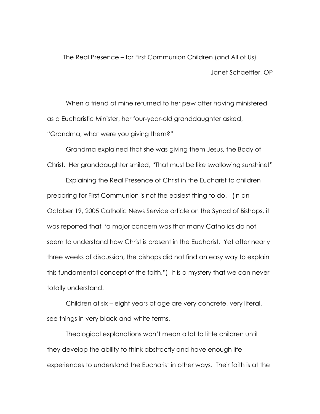The Real Presence – for First Communion Children (and All of Us) Janet Schaeffler, OP

When a friend of mine returned to her pew after having ministered as a Eucharistic Minister, her four-year-old granddaughter asked, "Grandma, what were you giving them?"

Grandma explained that she was giving them Jesus, the Body of Christ. Her granddaughter smiled, "That must be like swallowing sunshine!"

Explaining the Real Presence of Christ in the Eucharist to children preparing for First Communion is not the easiest thing to do. (In an October 19, 2005 Catholic News Service article on the Synod of Bishops, it was reported that "a major concern was that many Catholics do not seem to understand how Christ is present in the Eucharist. Yet after nearly three weeks of discussion, the bishops did not find an easy way to explain this fundamental concept of the faith.") It is a mystery that we can never totally understand.

Children at six – eight years of age are very concrete, very literal, see things in very black-and-white terms.

Theological explanations won't mean a lot to little children until they develop the ability to think abstractly and have enough life experiences to understand the Eucharist in other ways. Their faith is at the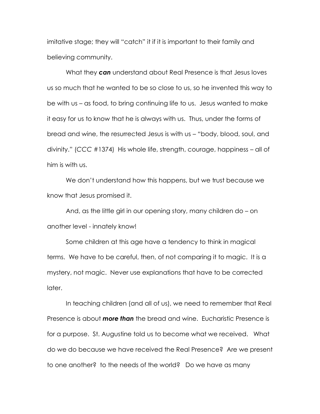imitative stage; they will "catch" it if it is important to their family and believing community.

What they *can* understand about Real Presence is that Jesus loves us so much that he wanted to be so close to us, so he invented this way to be with us – as food, to bring continuing life to us. Jesus wanted to make it easy for us to know that he is always with us. Thus, under the forms of bread and wine, the resurrected Jesus is with us – "body, blood, soul, and divinity." (*CCC* #1374) His whole life, strength, courage, happiness – all of him is with us.

We don't understand how this happens, but we trust because we know that Jesus promised it.

And, as the little girl in our opening story, many children do – on another level - innately know!

Some children at this age have a tendency to think in magical terms. We have to be careful, then, of not comparing it to magic. It is a mystery, not magic. Never use explanations that have to be corrected later.

In teaching children (and all of us), we need to remember that Real Presence is about *more than* the bread and wine. Eucharistic Presence is for a purpose. St. Augustine told us to become what we received. What do we do because we have received the Real Presence? Are we present to one another? to the needs of the world? Do we have as many